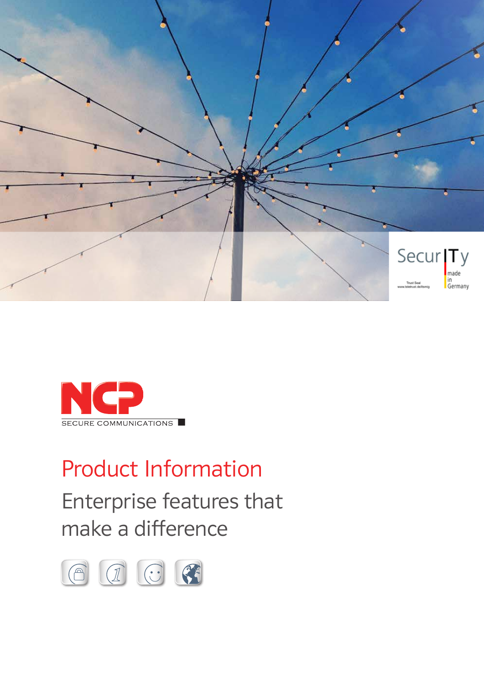



# Product Information

Enterprise features that make a difference

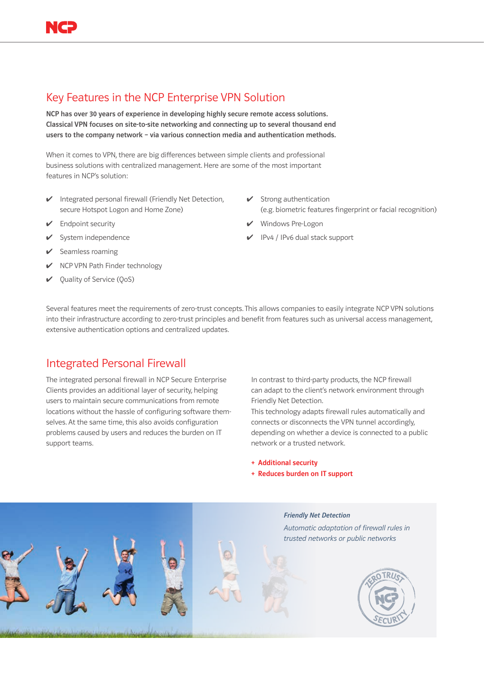# Key Features in the NCP Enterprise VPN Solution

NCP has over 30 years of experience in developing highly secure remote access solutions. Classical VPN focuses on site-to-site networking and connecting up to several thousand end users to the company network – via various connection media and authentication methods.

When it comes to VPN, there are big differences between simple clients and professional business solutions with centralized management. Here are some of the most important features in NCP's solution:

- ✔ Integrated personal firewall (Friendly Net Detection, secure Hotspot Logon and Home Zone)
- $\triangleright$  Endpoint security
- $\checkmark$  System independence
- $\triangleright$  Seamless roaming
- $\vee$  NCP VPN Path Finder technology
- $\vee$  Quality of Service (QoS)
- $\checkmark$  Strong authentication (e.g. biometric features fingerprint or facial recognition)
- ✔ Windows Pre-Logon
- ✔ IPv4 / IPv6 dual stack support

Several features meet the requirements of zero-trust concepts. This allows companies to easily integrate NCP VPN solutions into their infrastructure according to zero-trust principles and benefit from features such as universal access management, extensive authentication options and centralized updates.

### Integrated Personal Firewall

The integrated personal firewall in NCP Secure Enterprise Clients provides an additional layer of security, helping users to maintain secure communications from remote locations without the hassle of configuring software themselves. At the same time, this also avoids configuration problems caused by users and reduces the burden on IT support teams.

In contrast to third-party products, the NCP firewall can adapt to the client's network environment through Friendly Net Detection.

This technology adapts firewall rules automatically and connects or disconnects the VPN tunnel accordingly, depending on whether a device is connected to a public network or a trusted network.

+ Additional security

+ Reduces burden on IT support

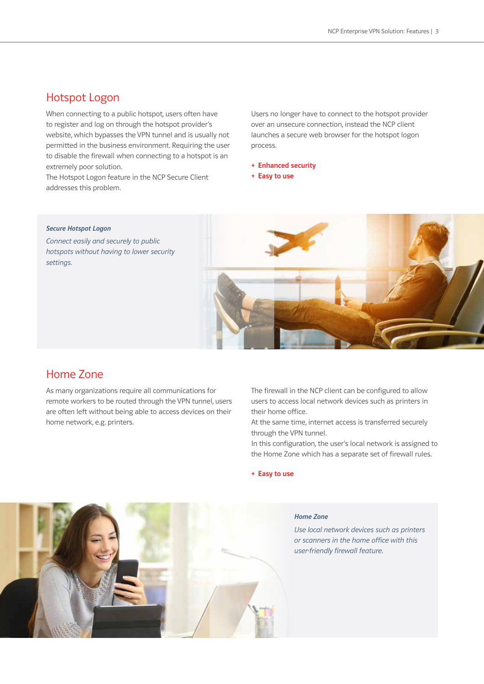### Hotspot Logon

When connecting to a public hotspot, users often have to register and log on through the hotspot provider's website, which bypasses the VPN tunnel and is usually not permitted in the business environment. Requiring the user to disable the firewall when connecting to a hotspot is an extremely poor solution.

The Hotspot Logon feature in the NCP Secure Client addresses this problem.

Users no longer have to connect to the hotspot provider over an unsecure connection, instead the NCP client launches a secure web browser for the hotspot logon process.

- + Enhanced security
- + Easy to use

#### *Secure Hotspot Logon*

*Connect easily and securely to public hotspots without having to lower security settings.*



### Home Zone

As many organizations require all communications for remote workers to be routed through the VPN tunnel, users are often left without being able to access devices on their home network, e.g. printers.

The firewall in the NCP client can be configured to allow users to access local network devices such as printers in their home office.

At the same time, internet access is transferred securely through the VPN tunnel.

In this configuration, the user's local network is assigned to the Home Zone which has a separate set of firewall rules.

+ Easy to use



#### *Home Zone*

*Use local network devices such as printers or scanners in the home office with this user-friendly firewall feature.*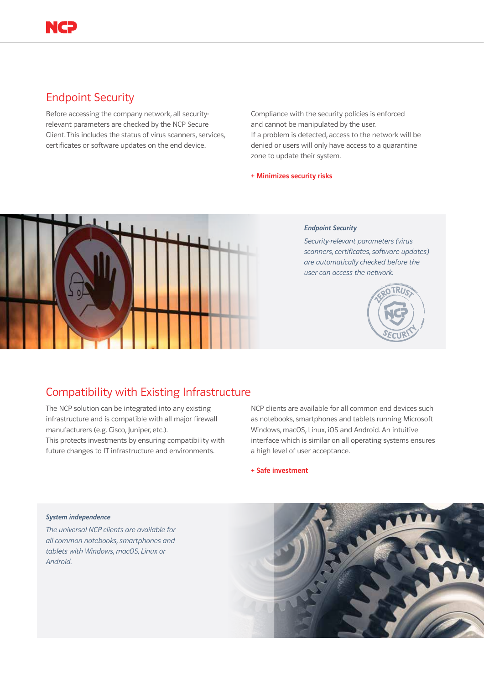# Endpoint Security

Before accessing the company network, all securityrelevant parameters are checked by the NCP Secure Client. This includes the status of virus scanners, services, certificates or software updates on the end device.

Compliance with the security policies is enforced and cannot be manipulated by the user.

If a problem is detected, access to the network will be denied or users will only have access to a quarantine zone to update their system.

### + Minimizes security risks



### *Endpoint Security*

*Security-relevant parameters (virus scanners, certificates, software updates) are automatically checked before the user can access the network.* 



# Compatibility with Existing Infrastructure

The NCP solution can be integrated into any existing infrastructure and is compatible with all major firewall manufacturers (e.g. Cisco, Juniper, etc.).

This protects investments by ensuring compatibility with future changes to IT infrastructure and environments.

NCP clients are available for all common end devices such as notebooks, smartphones and tablets running Microsoft Windows, macOS, Linux, iOS and Android. An intuitive interface which is similar on all operating systems ensures a high level of user acceptance.

+ Safe investment

#### *System independence*

*The universal NCP clients are available for all common notebooks, smartphones and tablets with Windows, macOS, Linux or Android.* 

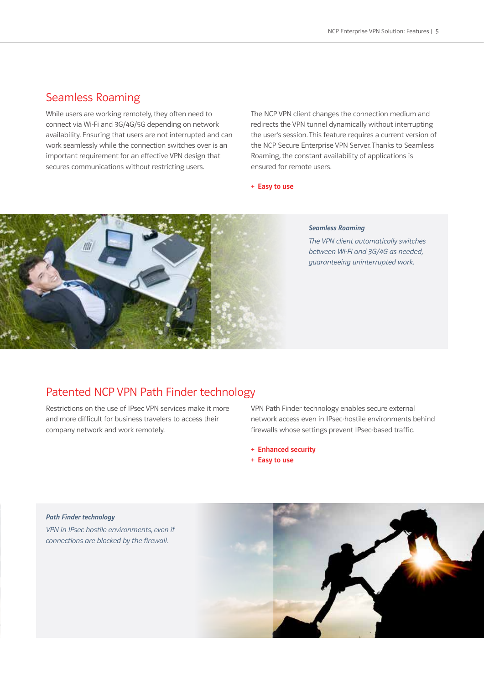## Seamless Roaming

While users are working remotely, they often need to connect via Wi-Fi and 3G/4G/5G depending on network availability. Ensuring that users are not interrupted and can work seamlessly while the connection switches over is an important requirement for an effective VPN design that secures communications without restricting users.

The NCP VPN client changes the connection medium and redirects the VPN tunnel dynamically without interrupting the user's session. This feature requires a current version of the NCP Secure Enterprise VPN Server. Thanks to Seamless Roaming, the constant availability of applications is ensured for remote users.

+ Easy to use



#### *Seamless Roaming*

*The VPN client automatically switches between Wi-Fi and 3G/4G as needed, guaranteeing uninterrupted work.*

# Patented NCP VPN Path Finder technology

Restrictions on the use of IPsec VPN services make it more and more difficult for business travelers to access their company network and work remotely.

VPN Path Finder technology enables secure external network access even in IPsec-hostile environments behind firewalls whose settings prevent IPsec-based traffic.

- + Enhanced security
- + Easy to use

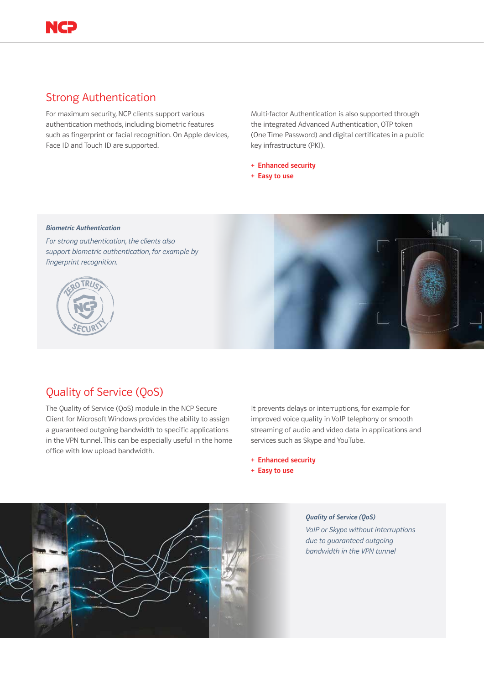

## Strong Authentication

For maximum security, NCP clients support various authentication methods, including biometric features such as fingerprint or facial recognition. On Apple devices, Face ID and Touch ID are supported.

Multi-factor Authentication is also supported through the integrated Advanced Authentication, OTP token (One Time Password) and digital certificates in a public key infrastructure (PKI).

- + Enhanced security
- + Easy to use

#### *Biometric Authentication*

*For strong authentication, the clients also support biometric authentication, for example by fingerprint recognition.* 





### Quality of Service (QoS)

The Quality of Service (QoS) module in the NCP Secure Client for Microsoft Windows provides the ability to assign a guaranteed outgoing bandwidth to specific applications in the VPN tunnel. This can be especially useful in the home office with low upload bandwidth.

It prevents delays or interruptions, for example for improved voice quality in VoIP telephony or smooth streaming of audio and video data in applications and services such as Skype and YouTube.

- + Enhanced security
- + Easy to use



#### *Quality of Service (QoS)*

*VoIP or Skype without interruptions due to guaranteed outgoing bandwidth in the VPN tunnel*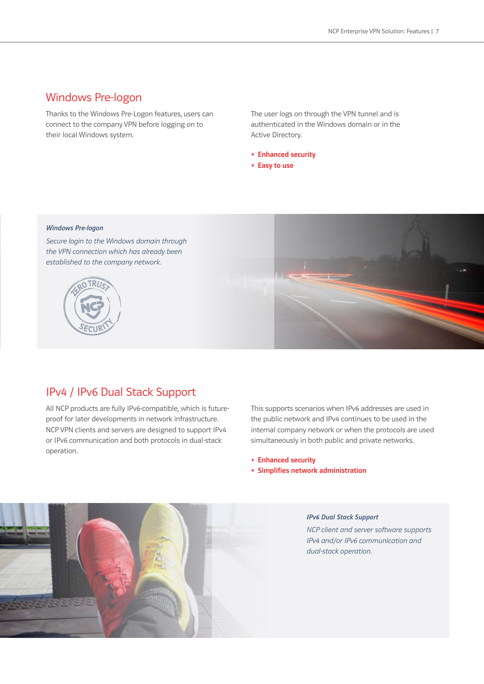### Windows Pre-logon

Thanks to the Windows Pre-Logon features, users can connect to the company VPN before logging on to their local Windows system.

The user logs on through the VPN tunnel and is authenticated in the Windows domain or in the Active Directory.

- + Enhanced security
- + Easy to use

#### *Windows Pre-logon*

*Secure login to the Windows domain through the VPN connection which has already been established to the company network.* 





### IPv4 / IPv6 Dual Stack Support

All NCP products are fully IPv6-compatible, which is futureproof for later developments in network infrastructure. NCP VPN clients and servers are designed to support IPv4 or IPv6 communication and both protocols in dual-stack operation.

This supports scenarios when IPv6 addresses are used in the public network and IPv4 continues to be used in the internal company network or when the protocols are used simultaneously in both public and private networks.

+ Enhanced security

+ Simplifies network administration



#### *IPv6 Dual Stack Support*

*NCP client and server software supports IPv4 and/or IPv6 communication and dual-stack operation.*